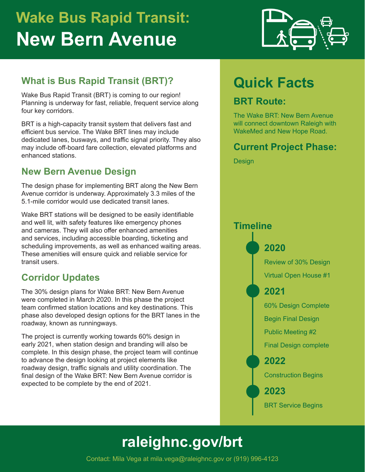# **Wake Bus Rapid Transit: New Bern Avenue**



#### **What is Bus Rapid Transit (BRT)?**

Wake Bus Rapid Transit (BRT) is coming to our region! Planning is underway for fast, reliable, frequent service along four key corridors.

BRT is a high-capacity transit system that delivers fast and efficient bus service. The Wake BRT lines may include dedicated lanes, busways, and traffic signal priority. They also may include off-board fare collection, elevated platforms and enhanced stations.

#### **New Bern Avenue Design**

The design phase for implementing BRT along the New Bern Avenue corridor is underway. Approximately 3.3 miles of the 5.1-mile corridor would use dedicated transit lanes.

Wake BRT stations will be designed to be easily identifiable and well lit, with safety features like emergency phones and cameras. They will also offer enhanced amenities and services, including accessible boarding, ticketing and scheduling improvements, as well as enhanced waiting areas. These amenities will ensure quick and reliable service for transit users.

#### **Corridor Updates**

The 30% design plans for Wake BRT: New Bern Avenue were completed in March 2020. In this phase the project team confirmed station locations and key destinations. This phase also developed design options for the BRT lanes in the roadway, known as runningways.

The project is currently working towards 60% design in early 2021, when station design and branding will also be complete. In this design phase, the project team will continue to advance the design looking at project elements like roadway design, traffic signals and utility coordination. The final design of the Wake BRT: New Bern Avenue corridor is expected to be complete by the end of 2021.

## **Quick Facts**

#### **BRT Route:**

The Wake BRT: New Bern Avenue will connect downtown Raleigh with WakeMed and New Hope Road.

#### **Current Project Phase:**

**Design** 



## **[raleighnc.gov/](http://raleighnc.gov/bus-rapid-transit)brt**

Contact: Mila Vega at mila.vega@raleighnc.gov or (919) 996-4123